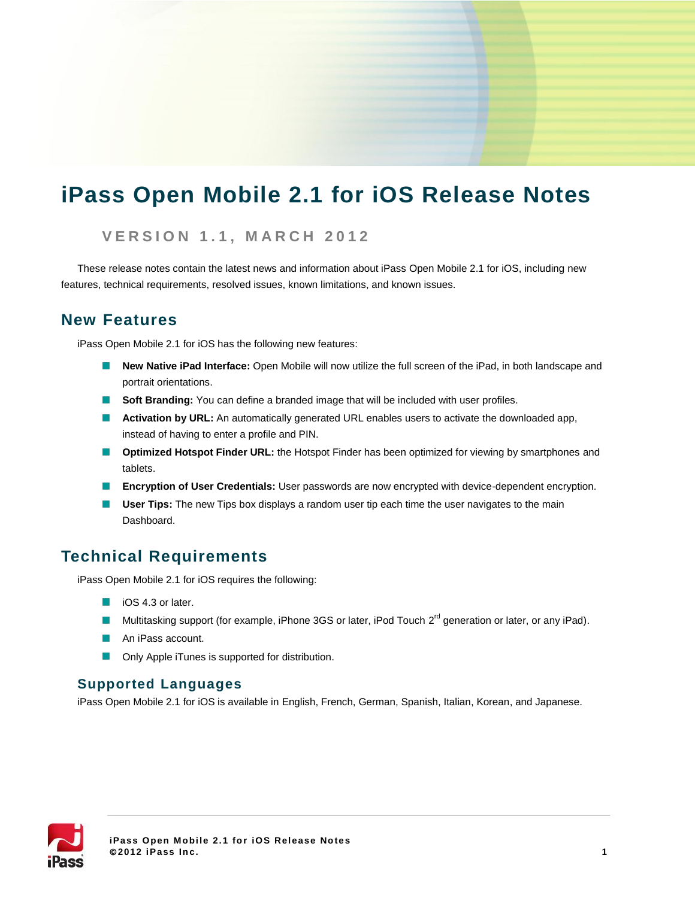# **iPass Open Mobile 2.1 for iOS Release Notes**

### **V E R S I O N 1 . 1 , M A R C H 2012**

These release notes contain the latest news and information about iPass Open Mobile 2.1 for iOS, including new features, technical requirements, resolved issues, known limitations, and known issues.

## **New Features**

iPass Open Mobile 2.1 for iOS has the following new features:

- **New Native iPad Interface:** Open Mobile will now utilize the full screen of the iPad, in both landscape and portrait orientations.
- **Soft Branding:** You can define a branded image that will be included with user profiles.
- **Activation by URL:** An automatically generated URL enables users to activate the downloaded app, instead of having to enter a profile and PIN.
- **Optimized Hotspot Finder URL:** the Hotspot Finder has been optimized for viewing by smartphones and **College** tablets.
- **Encryption of User Credentials:** User passwords are now encrypted with device-dependent encryption.
- **User Tips:** The new Tips box displays a random user tip each time the user navigates to the main  $\sim$ Dashboard.

# **Technical Requirements**

iPass Open Mobile 2.1 for iOS requires the following:

- iOS 4.3 or later.
- Multitasking support (for example, iPhone 3GS or later, iPod Touch 2<sup>rd</sup> generation or later, or any iPad).
- An iPass account.
- Only Apple iTunes is supported for distribution.

### **Supported Languages**

iPass Open Mobile 2.1 for iOS is available in English, French, German, Spanish, Italian, Korean, and Japanese.

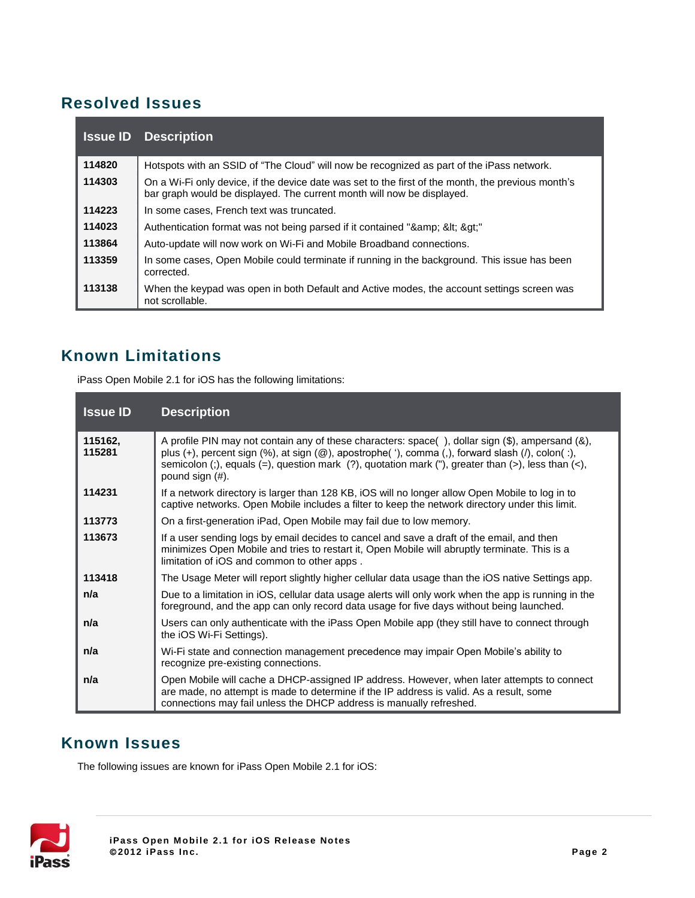# **Resolved Issues**

|        | <b>Issue ID</b> Description                                                                                                                                                  |
|--------|------------------------------------------------------------------------------------------------------------------------------------------------------------------------------|
| 114820 | Hotspots with an SSID of "The Cloud" will now be recognized as part of the iPass network.                                                                                    |
| 114303 | On a Wi-Fi only device, if the device date was set to the first of the month, the previous month's<br>bar graph would be displayed. The current month will now be displayed. |
| 114223 | In some cases, French text was truncated.                                                                                                                                    |
| 114023 | Authentication format was not being parsed if it contained "& &It >"                                                                                                         |
| 113864 | Auto-update will now work on Wi-Fi and Mobile Broadband connections.                                                                                                         |
| 113359 | In some cases, Open Mobile could terminate if running in the background. This issue has been<br>corrected.                                                                   |
| 113138 | When the keypad was open in both Default and Active modes, the account settings screen was<br>not scrollable.                                                                |

# **Known Limitations**

iPass Open Mobile 2.1 for iOS has the following limitations:

| <b>Issue ID</b>   | <b>Description</b>                                                                                                                                                                                                                                                                                                           |
|-------------------|------------------------------------------------------------------------------------------------------------------------------------------------------------------------------------------------------------------------------------------------------------------------------------------------------------------------------|
| 115162,<br>115281 | A profile PIN may not contain any of these characters: space(), dollar sign (\$), ampersand (&),<br>plus (+), percent sign (%), at sign (@), apostrophe('), comma (,), forward slash (/), colon(:),<br>semicolon (;), equals (=), question mark (?), quotation mark ("), greater than (>), less than (<),<br>pound sign (#). |
| 114231            | If a network directory is larger than 128 KB, iOS will no longer allow Open Mobile to log in to<br>captive networks. Open Mobile includes a filter to keep the network directory under this limit.                                                                                                                           |
| 113773            | On a first-generation iPad, Open Mobile may fail due to low memory.                                                                                                                                                                                                                                                          |
| 113673            | If a user sending logs by email decides to cancel and save a draft of the email, and then<br>minimizes Open Mobile and tries to restart it, Open Mobile will abruptly terminate. This is a<br>limitation of iOS and common to other apps.                                                                                    |
| 113418            | The Usage Meter will report slightly higher cellular data usage than the iOS native Settings app.                                                                                                                                                                                                                            |
| n/a               | Due to a limitation in iOS, cellular data usage alerts will only work when the app is running in the<br>foreground, and the app can only record data usage for five days without being launched.                                                                                                                             |
| n/a               | Users can only authenticate with the iPass Open Mobile app (they still have to connect through<br>the iOS Wi-Fi Settings).                                                                                                                                                                                                   |
| n/a               | Wi-Fi state and connection management precedence may impair Open Mobile's ability to<br>recognize pre-existing connections.                                                                                                                                                                                                  |
| n/a               | Open Mobile will cache a DHCP-assigned IP address. However, when later attempts to connect<br>are made, no attempt is made to determine if the IP address is valid. As a result, some<br>connections may fail unless the DHCP address is manually refreshed.                                                                 |

# **Known Issues**

The following issues are known for iPass Open Mobile 2.1 for iOS:

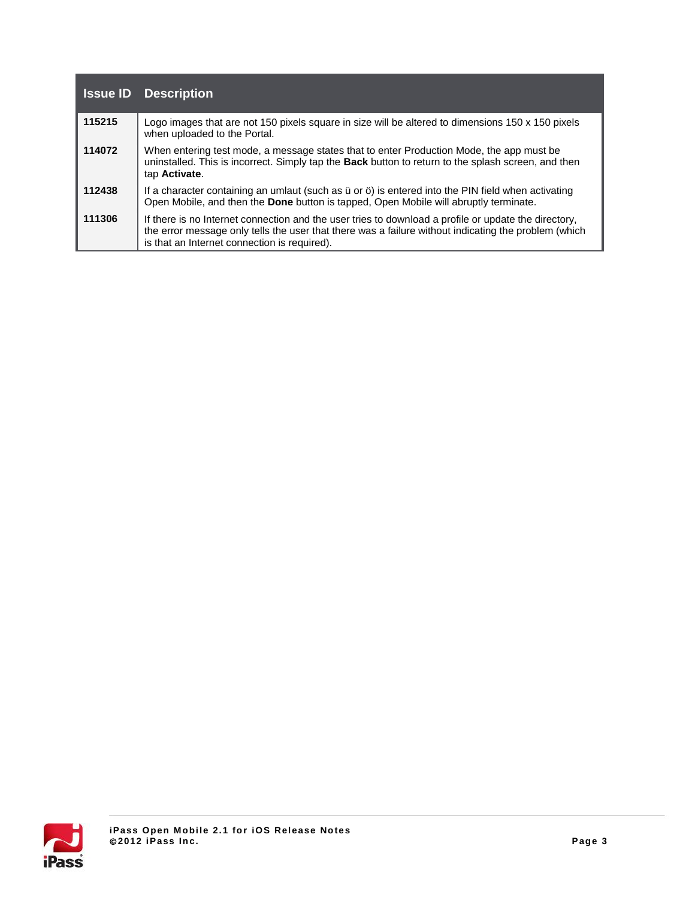| <b>Issue ID</b> | <b>Description</b>                                                                                                                                                                                                                                           |
|-----------------|--------------------------------------------------------------------------------------------------------------------------------------------------------------------------------------------------------------------------------------------------------------|
| 115215          | Logo images that are not 150 pixels square in size will be altered to dimensions 150 x 150 pixels<br>when uploaded to the Portal.                                                                                                                            |
| 114072          | When entering test mode, a message states that to enter Production Mode, the app must be<br>uninstalled. This is incorrect. Simply tap the Back button to return to the splash screen, and then<br>tap Activate.                                             |
| 112438          | If a character containing an umlaut (such as ü or ö) is entered into the PIN field when activating<br>Open Mobile, and then the Done button is tapped, Open Mobile will abruptly terminate.                                                                  |
| 111306          | If there is no Internet connection and the user tries to download a profile or update the directory,<br>the error message only tells the user that there was a failure without indicating the problem (which<br>is that an Internet connection is required). |